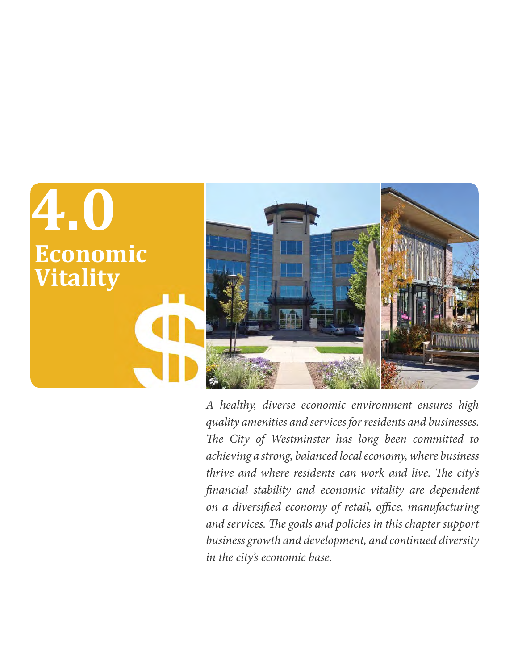

*A healthy, diverse economic environment ensures high quality amenities and services for residents and businesses. The City of Westminster has long been committed to achieving a strong, balanced local economy, where business thrive and where residents can work and live. The city's financial stability and economic vitality are dependent on a diversified economy of retail, office, manufacturing and services. The goals and policies in this chapter support business growth and development, and continued diversity in the city's economic base.*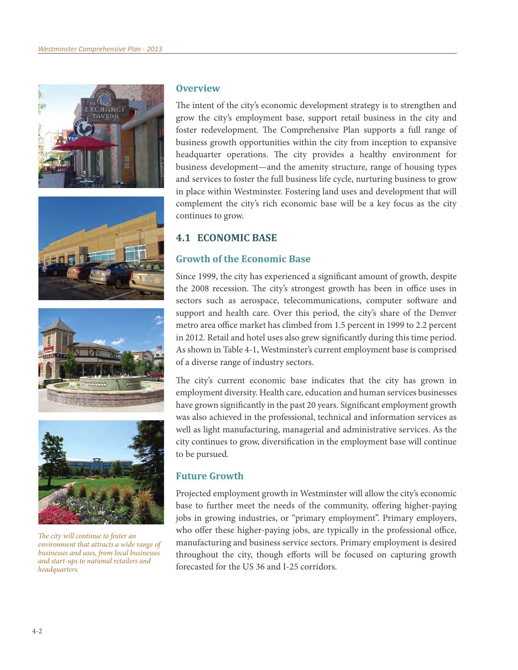







*The city will continue to foster an environment that attracts a wide range of businesses and uses, from local businesses and start-ups to national retailers and headquarters.*

#### **Overview**

The intent of the city's economic development strategy is to strengthen and grow the city's employment base, support retail business in the city and foster redevelopment. The Comprehensive Plan supports a full range of business growth opportunities within the city from inception to expansive headquarter operations. The city provides a healthy environment for business development—and the amenity structure, range of housing types and services to foster the full business life cycle, nurturing business to grow in place within Westminster. Fostering land uses and development that will complement the city's rich economic base will be a key focus as the city continues to grow.

## **4.1 ECONOMIC BASE**

## **Growth of the Economic Base**

Since 1999, the city has experienced a significant amount of growth, despite the 2008 recession. The city's strongest growth has been in office uses in sectors such as aerospace, telecommunications, computer software and support and health care. Over this period, the city's share of the Denver metro area office market has climbed from 1.5 percent in 1999 to 2.2 percent in 2012. Retail and hotel uses also grew significantly during this time period. As shown in Table 4-1, Westminster's current employment base is comprised of a diverse range of industry sectors.

The city's current economic base indicates that the city has grown in employment diversity. Health care, education and human services businesses have grown significantly in the past 20 years. Significant employment growth was also achieved in the professional, technical and information services as well as light manufacturing, managerial and administrative services. As the city continues to grow, diversification in the employment base will continue to be pursued.

#### **Future Growth**

Projected employment growth in Westminster will allow the city's economic base to further meet the needs of the community, offering higher-paying jobs in growing industries, or "primary employment". Primary employers, who offer these higher-paying jobs, are typically in the professional office, manufacturing and business service sectors. Primary employment is desired throughout the city, though efforts will be focused on capturing growth forecasted for the US 36 and I-25 corridors.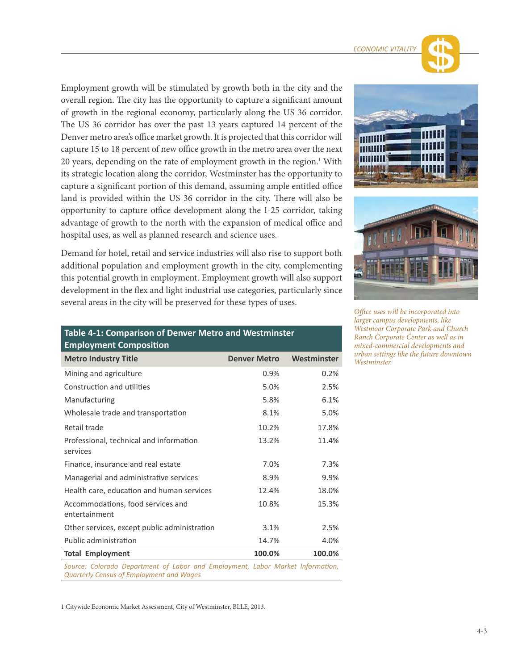Employment growth will be stimulated by growth both in the city and the overall region. The city has the opportunity to capture a significant amount of growth in the regional economy, particularly along the US 36 corridor. The US 36 corridor has over the past 13 years captured 14 percent of the Denver metro area's office market growth. It is projected that this corridor will capture 15 to 18 percent of new office growth in the metro area over the next 20 years, depending on the rate of employment growth in the region.<sup>1</sup> With its strategic location along the corridor, Westminster has the opportunity to capture a significant portion of this demand, assuming ample entitled office land is provided within the US 36 corridor in the city. There will also be opportunity to capture office development along the I-25 corridor, taking advantage of growth to the north with the expansion of medical office and hospital uses, as well as planned research and science uses.

Demand for hotel, retail and service industries will also rise to support both additional population and employment growth in the city, complementing this potential growth in employment. Employment growth will also support development in the flex and light industrial use categories, particularly since several areas in the city will be preserved for these types of uses.

| Table 4-1: Comparison of Denver Metro and Westminster<br><b>Employment Composition</b> |                     |             |  |
|----------------------------------------------------------------------------------------|---------------------|-------------|--|
| <b>Metro Industry Title</b>                                                            | <b>Denver Metro</b> | Westminster |  |
| Mining and agriculture                                                                 | 0.9%                | 0.2%        |  |
| Construction and utilities                                                             | 5.0%                | 2.5%        |  |
| Manufacturing                                                                          | 5.8%                | 6.1%        |  |
| Wholesale trade and transportation                                                     | 8.1%                | 5.0%        |  |
| Retail trade                                                                           | 10.2%               | 17.8%       |  |
| Professional, technical and information<br>services                                    | 13.2%               | 11.4%       |  |
| Finance, insurance and real estate                                                     | 7.0%                | 7.3%        |  |
| Managerial and administrative services                                                 | 8.9%                | 9.9%        |  |
| Health care, education and human services                                              | 12.4%               | 18.0%       |  |
| Accommodations, food services and<br>entertainment                                     | 10.8%               | 15.3%       |  |
| Other services, except public administration                                           | 3.1%                | 2.5%        |  |
| Public administration                                                                  | 14.7%               | 4.0%        |  |
| <b>Total Employment</b>                                                                | 100.0%              | 100.0%      |  |
|                                                                                        |                     |             |  |

Source: Colorado Department of Labor and Employment, Labor Market Information, *Quarterly Census of Employment and Wages*

1 Citywide Economic Market Assessment, City of Westminster, BLLE, 2013.





*Office uses will be incorporated into larger campus developments, like Westmoor Corporate Park and Church Ranch Corporate Center as well as in mixed-commercial developments and urban settings like the future downtown Westminster.*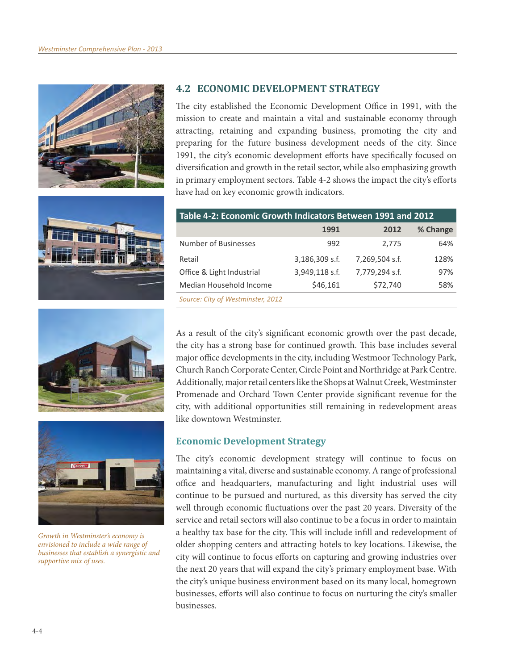







*Growth in Westminster's economy is envisioned to include a wide range of businesses that establish a synergistic and supportive mix of uses.*

### **4.2 ECONOMIC DEVELOPMENT STRATEGY**

The city established the Economic Development Office in 1991, with the mission to create and maintain a vital and sustainable economy through attracting, retaining and expanding business, promoting the city and preparing for the future business development needs of the city. Since 1991, the city's economic development efforts have specifically focused on diversification and growth in the retail sector, while also emphasizing growth in primary employment sectors. Table 4-2 shows the impact the city's efforts have had on key economic growth indicators.

| Table 4-2: Economic Growth Indicators Between 1991 and 2012 |                |                |          |  |
|-------------------------------------------------------------|----------------|----------------|----------|--|
|                                                             | 1991           | 2012           | % Change |  |
| Number of Businesses                                        | 992            | 2,775          | 64%      |  |
| Retail                                                      | 3,186,309 s.f. | 7,269,504 s.f. | 128%     |  |
| Office & Light Industrial                                   | 3,949,118 s.f. | 7,779,294 s.f. | 97%      |  |
| Median Household Income                                     | \$46,161       | \$72,740       | 58%      |  |
| Source: City of Westminster, 2012                           |                |                |          |  |

As a result of the city's significant economic growth over the past decade, the city has a strong base for continued growth. This base includes several major office developments in the city, including Westmoor Technology Park, Church Ranch Corporate Center, Circle Point and Northridge at Park Centre. Additionally, major retail centers like the Shops at Walnut Creek, Westminster Promenade and Orchard Town Center provide significant revenue for the city, with additional opportunities still remaining in redevelopment areas like downtown Westminster.

## **Economic Development Strategy**

The city's economic development strategy will continue to focus on maintaining a vital, diverse and sustainable economy. A range of professional office and headquarters, manufacturing and light industrial uses will continue to be pursued and nurtured, as this diversity has served the city well through economic fluctuations over the past 20 years. Diversity of the service and retail sectors will also continue to be a focus in order to maintain a healthy tax base for the city. This will include infill and redevelopment of older shopping centers and attracting hotels to key locations. Likewise, the city will continue to focus efforts on capturing and growing industries over the next 20 years that will expand the city's primary employment base. With the city's unique business environment based on its many local, homegrown businesses, efforts will also continue to focus on nurturing the city's smaller businesses.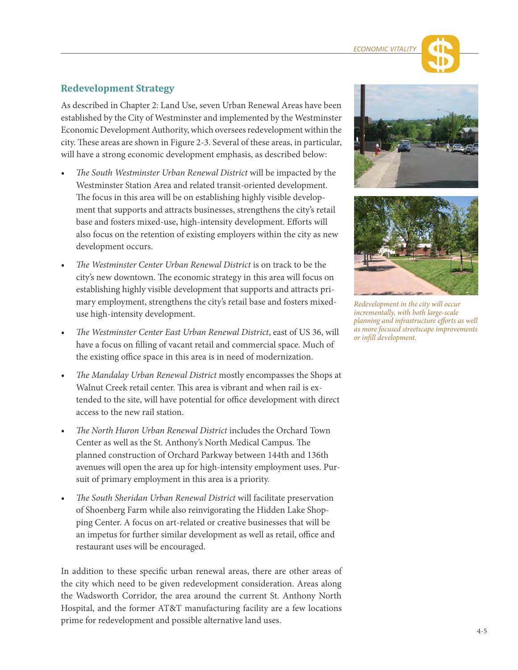## **Redevelopment Strategy**

As described in Chapter 2: Land Use, seven Urban Renewal Areas have been established by the City of Westminster and implemented by the Westminster Economic Development Authority, which oversees redevelopment within the city. These areas are shown in Figure 2-3. Several of these areas, in particular, will have a strong economic development emphasis, as described below:

- t *The South Westminster Urban Renewal District* will be impacted by the Westminster Station Area and related transit-oriented development. The focus in this area will be on establishing highly visible development that supports and attracts businesses, strengthens the city's retail base and fosters mixed-use, high-intensity development. Efforts will also focus on the retention of existing employers within the city as new development occurs.
- The Westminster Center Urban Renewal District is on track to be the city's new downtown. The economic strategy in this area will focus on establishing highly visible development that supports and attracts primary employment, strengthens the city's retail base and fosters mixeduse high-intensity development.
- t *The Westminster Center East Urban Renewal District*, east of US 36, will have a focus on filling of vacant retail and commercial space. Much of the existing office space in this area is in need of modernization.
- t *The Mandalay Urban Renewal District* mostly encompasses the Shops at Walnut Creek retail center. This area is vibrant and when rail is extended to the site, will have potential for office development with direct access to the new rail station.
- The North Huron Urban Renewal District includes the Orchard Town Center as well as the St. Anthony's North Medical Campus. The planned construction of Orchard Parkway between 144th and 136th avenues will open the area up for high-intensity employment uses. Pursuit of primary employment in this area is a priority.
- t *The South Sheridan Urban Renewal District* will facilitate preservation of Shoenberg Farm while also reinvigorating the Hidden Lake Shopping Center. A focus on art-related or creative businesses that will be an impetus for further similar development as well as retail, office and restaurant uses will be encouraged.

In addition to these specific urban renewal areas, there are other areas of the city which need to be given redevelopment consideration. Areas along the Wadsworth Corridor, the area around the current St. Anthony North Hospital, and the former AT&T manufacturing facility are a few locations prime for redevelopment and possible alternative land uses.





*Redevelopment in the city will occur incrementally, with both large-scale planning and infrastructure efforts as well as more focused streetscape improvements or infill development.*